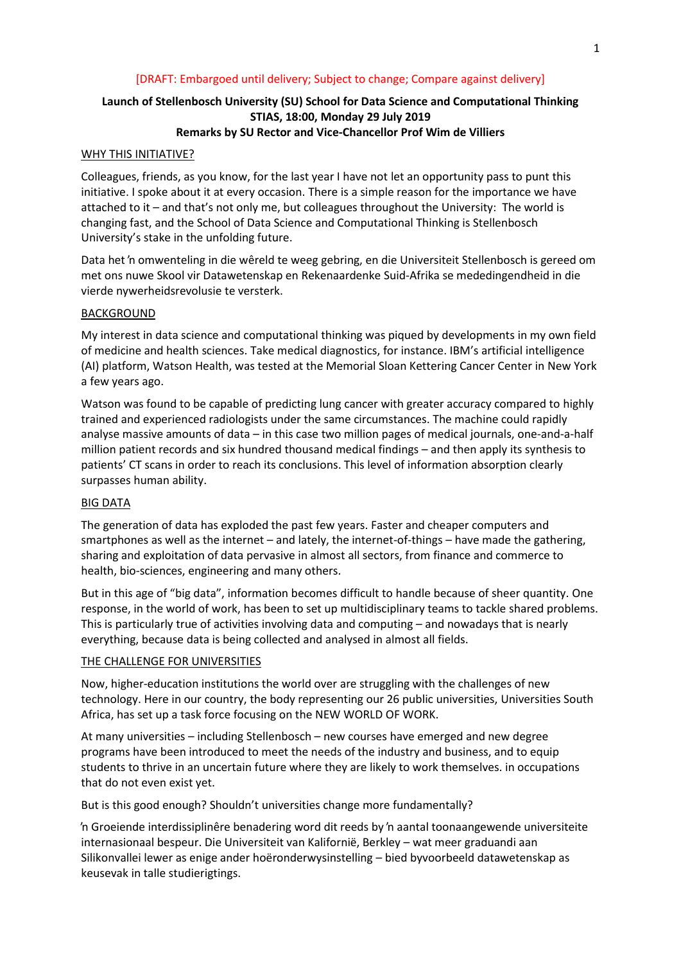# [DRAFT: Embargoed until delivery; Subject to change; Compare against delivery]

# **Launch of Stellenbosch University (SU) School for Data Science and Computational Thinking STIAS, 18:00, Monday 29 July 2019**

# **Remarks by SU Rector and Vice-Chancellor Prof Wim de Villiers**

#### WHY THIS INITIATIVE?

Colleagues, friends, as you know, for the last year I have not let an opportunity pass to punt this initiative. I spoke about it at every occasion. There is a simple reason for the importance we have attached to it – and that's not only me, but colleagues throughout the University: The world is changing fast, and the School of Data Science and Computational Thinking is Stellenbosch University's stake in the unfolding future.

Data het 'n omwenteling in die wêreld te weeg gebring, en die Universiteit Stellenbosch is gereed om met ons nuwe Skool vir Datawetenskap en Rekenaardenke Suid-Afrika se mededingendheid in die vierde nywerheidsrevolusie te versterk.

#### BACKGROUND

My interest in data science and computational thinking was piqued by developments in my own field of medicine and health sciences. Take medical diagnostics, for instance. IBM's artificial intelligence (AI) platform, Watson Health, was tested at the Memorial Sloan Kettering Cancer Center in New York a few years ago.

Watson was found to be capable of predicting lung cancer with greater accuracy compared to highly trained and experienced radiologists under the same circumstances. The machine could rapidly analyse massive amounts of data – in this case two million pages of medical journals, one-and-a-half million patient records and six hundred thousand medical findings – and then apply its synthesis to patients' CT scans in order to reach its conclusions. This level of information absorption clearly surpasses human ability.

#### BIG DATA

The generation of data has exploded the past few years. Faster and cheaper computers and smartphones as well as the internet – and lately, the internet-of-things – have made the gathering, sharing and exploitation of data pervasive in almost all sectors, from finance and commerce to health, bio-sciences, engineering and many others.

But in this age of "big data", information becomes difficult to handle because of sheer quantity. One response, in the world of work, has been to set up multidisciplinary teams to tackle shared problems. This is particularly true of activities involving data and computing – and nowadays that is nearly everything, because data is being collected and analysed in almost all fields.

# THE CHALLENGE FOR UNIVERSITIES

Now, higher-education institutions the world over are struggling with the challenges of new technology. Here in our country, the body representing our 26 public universities, Universities South Africa, has set up a task force focusing on the NEW WORLD OF WORK.

At many universities – including Stellenbosch – new courses have emerged and new degree programs have been introduced to meet the needs of the industry and business, and to equip students to thrive in an uncertain future where they are likely to work themselves. in occupations that do not even exist yet.

But is this good enough? Shouldn't universities change more fundamentally?

'n Groeiende interdissiplinêre benadering word dit reeds by 'n aantal toonaangewende universiteite internasionaal bespeur. Die Universiteit van Kalifornië, Berkley – wat meer graduandi aan Silikonvallei lewer as enige ander hoëronderwysinstelling – bied byvoorbeeld datawetenskap as keusevak in talle studierigtings.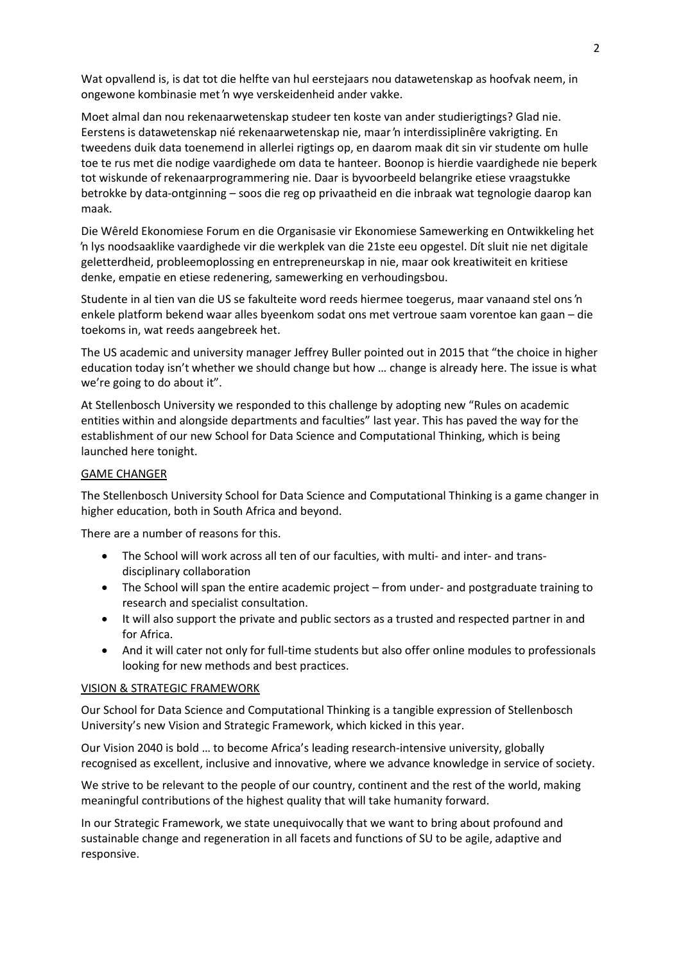Wat opvallend is, is dat tot die helfte van hul eerstejaars nou datawetenskap as hoofvak neem, in ongewone kombinasie met 'n wye verskeidenheid ander vakke.

Moet almal dan nou rekenaarwetenskap studeer ten koste van ander studierigtings? Glad nie. Eerstens is datawetenskap nié rekenaarwetenskap nie, maar 'n interdissiplinêre vakrigting. En tweedens duik data toenemend in allerlei rigtings op, en daarom maak dit sin vir studente om hulle toe te rus met die nodige vaardighede om data te hanteer. Boonop is hierdie vaardighede nie beperk tot wiskunde of rekenaarprogrammering nie. Daar is byvoorbeeld belangrike etiese vraagstukke betrokke by data-ontginning – soos die reg op privaatheid en die inbraak wat tegnologie daarop kan maak.

Die Wêreld Ekonomiese Forum en die Organisasie vir Ekonomiese Samewerking en Ontwikkeling het 'n lys noodsaaklike vaardighede vir die werkplek van die 21ste eeu opgestel. Dít sluit nie net digitale geletterdheid, probleemoplossing en entrepreneurskap in nie, maar ook kreatiwiteit en kritiese denke, empatie en etiese redenering, samewerking en verhoudingsbou.

Studente in al tien van die US se fakulteite word reeds hiermee toegerus, maar vanaand stel ons 'n enkele platform bekend waar alles byeenkom sodat ons met vertroue saam vorentoe kan gaan – die toekoms in, wat reeds aangebreek het.

The US academic and university manager Jeffrey Buller pointed out in 2015 that "the choice in higher education today isn't whether we should change but how … change is already here. The issue is what we're going to do about it".

At Stellenbosch University we responded to this challenge by adopting new "Rules on academic entities within and alongside departments and faculties" last year. This has paved the way for the establishment of our new School for Data Science and Computational Thinking, which is being launched here tonight.

# GAME CHANGER

The Stellenbosch University School for Data Science and Computational Thinking is a game changer in higher education, both in South Africa and beyond.

There are a number of reasons for this.

- The School will work across all ten of our faculties, with multi- and inter- and transdisciplinary collaboration
- The School will span the entire academic project from under- and postgraduate training to research and specialist consultation.
- It will also support the private and public sectors as a trusted and respected partner in and for Africa.
- And it will cater not only for full-time students but also offer online modules to professionals looking for new methods and best practices.

#### VISION & STRATEGIC FRAMEWORK

Our School for Data Science and Computational Thinking is a tangible expression of Stellenbosch University's new Vision and Strategic Framework, which kicked in this year.

Our Vision 2040 is bold … to become Africa's leading research-intensive university, globally recognised as excellent, inclusive and innovative, where we advance knowledge in service of society.

We strive to be relevant to the people of our country, continent and the rest of the world, making meaningful contributions of the highest quality that will take humanity forward.

In our Strategic Framework, we state unequivocally that we want to bring about profound and sustainable change and regeneration in all facets and functions of SU to be agile, adaptive and responsive.